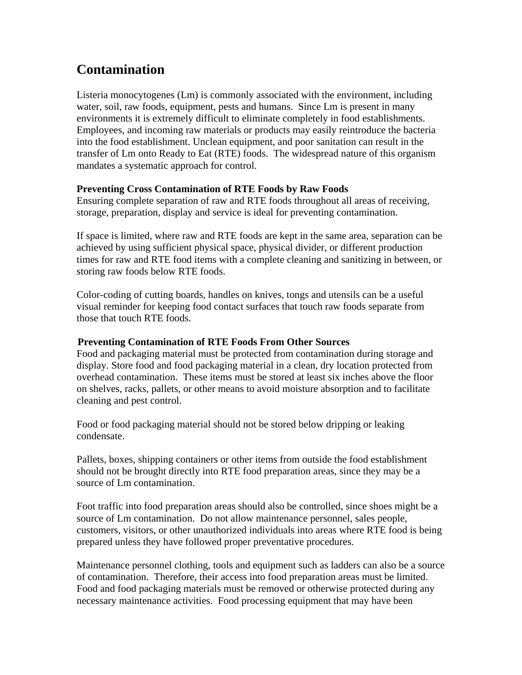## **Contamination**

Listeria monocytogenes (Lm) is commonly associated with the environment, including water, soil, raw foods, equipment, pests and humans. Since Lm is present in many environments it is extremely difficult to eliminate completely in food establishments. Employees, and incoming raw materials or products may easily reintroduce the bacteria into the food establishment. Unclean equipment, and poor sanitation can result in the transfer of Lm onto Ready to Eat (RTE) foods. The widespread nature of this organism mandates a systematic approach for control.

## **Preventing Cross Contamination of RTE Foods by Raw Foods**

Ensuring complete separation of raw and RTE foods throughout all areas of receiving, storage, preparation, display and service is ideal for preventing contamination.

If space is limited, where raw and RTE foods are kept in the same area, separation can be achieved by using sufficient physical space, physical divider, or different production times for raw and RTE food items with a complete cleaning and sanitizing in between, or storing raw foods below RTE foods.

Color-coding of cutting boards, handles on knives, tongs and utensils can be a useful visual reminder for keeping food contact surfaces that touch raw foods separate from those that touch RTE foods.

## 0B**Preventing Contamination of RTE Foods From Other Sources**

Food and packaging material must be protected from contamination during storage and display. Store food and food packaging material in a clean, dry location protected from overhead contamination. These items must be stored at least six inches above the floor on shelves, racks, pallets, or other means to avoid moisture absorption and to facilitate cleaning and pest control.

Food or food packaging material should not be stored below dripping or leaking condensate.

Pallets, boxes, shipping containers or other items from outside the food establishment should not be brought directly into RTE food preparation areas, since they may be a source of Lm contamination.

Foot traffic into food preparation areas should also be controlled, since shoes might be a source of Lm contamination. Do not allow maintenance personnel, sales people, customers, visitors, or other unauthorized individuals into areas where RTE food is being prepared unless they have followed proper preventative procedures.

Maintenance personnel clothing, tools and equipment such as ladders can also be a source of contamination. Therefore, their access into food preparation areas must be limited. Food and food packaging materials must be removed or otherwise protected during any necessary maintenance activities. Food processing equipment that may have been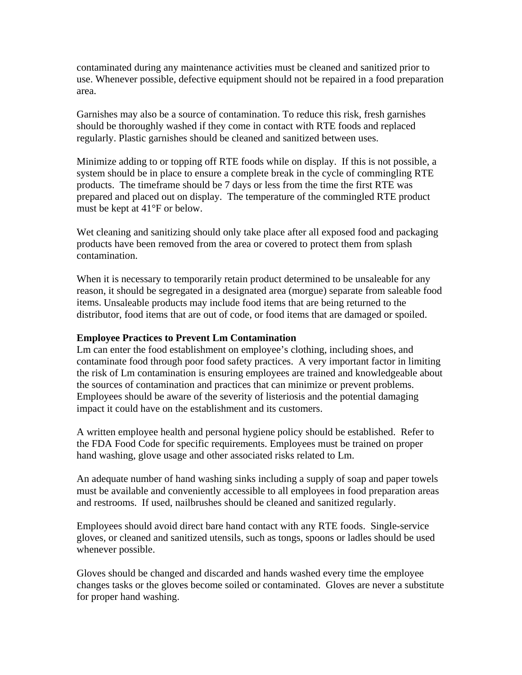contaminated during any maintenance activities must be cleaned and sanitized prior to use. Whenever possible, defective equipment should not be repaired in a food preparation area.

Garnishes may also be a source of contamination. To reduce this risk, fresh garnishes should be thoroughly washed if they come in contact with RTE foods and replaced regularly. Plastic garnishes should be cleaned and sanitized between uses.

Minimize adding to or topping off RTE foods while on display. If this is not possible, a system should be in place to ensure a complete break in the cycle of commingling RTE products. The timeframe should be 7 days or less from the time the first RTE was prepared and placed out on display. The temperature of the commingled RTE product must be kept at 41°F or below.

Wet cleaning and sanitizing should only take place after all exposed food and packaging products have been removed from the area or covered to protect them from splash contamination.

When it is necessary to temporarily retain product determined to be unsaleable for any reason, it should be segregated in a designated area (morgue) separate from saleable food items. Unsaleable products may include food items that are being returned to the distributor, food items that are out of code, or food items that are damaged or spoiled.

## **Employee Practices to Prevent Lm Contamination**

Lm can enter the food establishment on employee's clothing, including shoes, and contaminate food through poor food safety practices. A very important factor in limiting the risk of Lm contamination is ensuring employees are trained and knowledgeable about the sources of contamination and practices that can minimize or prevent problems. Employees should be aware of the severity of listeriosis and the potential damaging impact it could have on the establishment and its customers.

A written employee health and personal hygiene policy should be established. Refer to the FDA Food Code for specific requirements. Employees must be trained on proper hand washing, glove usage and other associated risks related to Lm.

An adequate number of hand washing sinks including a supply of soap and paper towels must be available and conveniently accessible to all employees in food preparation areas and restrooms. If used, nailbrushes should be cleaned and sanitized regularly.

Employees should avoid direct bare hand contact with any RTE foods. Single-service gloves, or cleaned and sanitized utensils, such as tongs, spoons or ladles should be used whenever possible.

Gloves should be changed and discarded and hands washed every time the employee changes tasks or the gloves become soiled or contaminated. Gloves are never a substitute for proper hand washing.